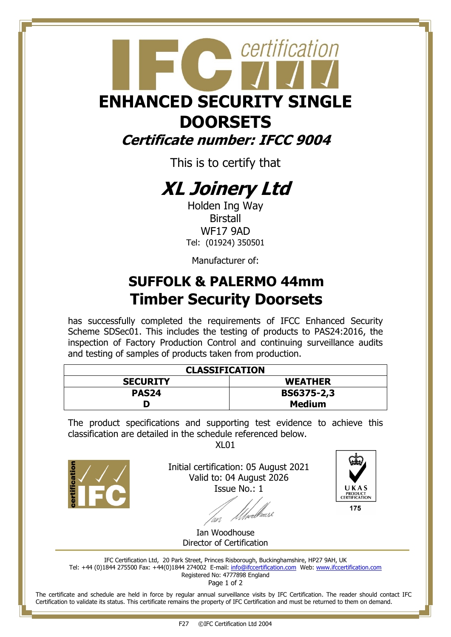## certification **ENHANCED SECURITY SINGLE DOORSETS Certificate number: IFCC 9004**

This is to certify that

## **XL Joinery Ltd**

Holden Ing Way Birstall WF17 9AD Tel: (01924) 350501

Manufacturer of:

### **SUFFOLK & PALERMO 44mm Timber Security Doorsets**

has successfully completed the requirements of IFCC Enhanced Security Scheme SDSec01. This includes the testing of products to PAS24:2016, the inspection of Factory Production Control and continuing surveillance audits and testing of samples of products taken from production.

| <b>CLASSIFICATION</b> |                   |
|-----------------------|-------------------|
| <b>SECURITY</b>       | <b>WEATHER</b>    |
| PAS <sub>24</sub>     | <b>BS6375-2,3</b> |
|                       | <b>Medium</b>     |

The product specifications and supporting test evidence to achieve this classification are detailed in the schedule referenced below.

 $X<sub>l</sub>$  01



Initial certification: 05 August 2021 Valid to: 04 August 2026 Issue No.: 1

web



175

Ian Woodhouse Director of Certification

IFC Certification Ltd, 20 Park Street, Princes Risborough, Buckinghamshire, HP27 9AH, UK Tel: +44 (0)1844 275500 Fax: +44(0)1844 274002 E-mail: [info@ifccertification.com](mailto:info@ifccertification.com) Web[: www.ifccertification.com](http://www.ifccertification.com/) Registered No: 4777898 England

Page 1 of 2

The certificate and schedule are held in force by regular annual surveillance visits by IFC Certification. The reader should contact IFC Certification to validate its status. This certificate remains the property of IFC Certification and must be returned to them on demand.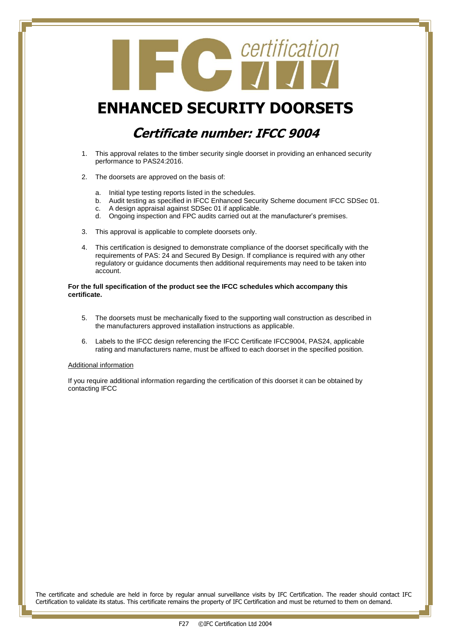# Contification

#### **ENHANCED SECURITY DOORSETS**

#### **Certificate number: IFCC 9004**

- 1. This approval relates to the timber security single doorset in providing an enhanced security performance to PAS24:2016.
- 2. The doorsets are approved on the basis of:
	- a. Initial type testing reports listed in the schedules.
	- b. Audit testing as specified in IFCC Enhanced Security Scheme document IFCC SDSec 01.
	- c. A design appraisal against SDSec 01 if applicable.
	- d. Ongoing inspection and FPC audits carried out at the manufacturer's premises.
- 3. This approval is applicable to complete doorsets only.
- 4. This certification is designed to demonstrate compliance of the doorset specifically with the requirements of PAS: 24 and Secured By Design. If compliance is required with any other regulatory or guidance documents then additional requirements may need to be taken into account.

#### **For the full specification of the product see the IFCC schedules which accompany this certificate.**

- 5. The doorsets must be mechanically fixed to the supporting wall construction as described in the manufacturers approved installation instructions as applicable.
- 6. Labels to the IFCC design referencing the IFCC Certificate IFCC9004, PAS24, applicable rating and manufacturers name, must be affixed to each doorset in the specified position.

#### Additional information

If you require additional information regarding the certification of this doorset it can be obtained by contacting IFCC

The certificate and schedule are held in force by regular annual surveillance visits by IFC Certification. The reader should contact IFC Certification to validate its status. This certificate remains the property of IFC Certification and must be returned to them on demand.